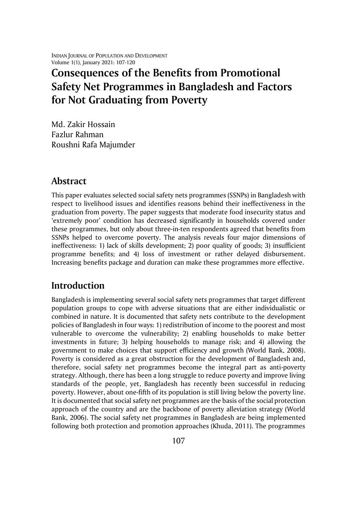# **Consequences of the Benefits from Promotional Safety Net Programmes in Bangladesh and Factors for Not Graduating from Poverty**

Md. Zakir Hossain Fazlur Rahman Roushni Rafa Majumder

## **Abstract**

This paper evaluates selected social safety nets programmes (SSNPs) in Bangladesh with respect to livelihood issues and identifies reasons behind their ineffectiveness in the graduation from poverty. The paper suggests that moderate food insecurity status and 'extremely poor' condition has decreased significantly in households covered under these programmes, but only about three-in-ten respondents agreed that benefits from SSNPs helped to overcome poverty. The analysis reveals four major dimensions of ineffectiveness: 1) lack of skills development; 2) poor quality of goods; 3) insufficient programme benefits; and 4) loss of investment or rather delayed disbursement. Increasing benefits package and duration can make these programmes more effective.

## **Introduction**

Bangladesh is implementing several social safety nets programmes that target different population groups to cope with adverse situations that are either individualistic or combined in nature. It is documented that safety nets contribute to the development policies of Bangladesh in four ways: 1) redistribution of income to the poorest and most vulnerable to overcome the vulnerability; 2) enabling households to make better investments in future; 3) helping households to manage risk; and 4) allowing the government to make choices that support efficiency and growth (World Bank, 2008). Poverty is considered as a great obstruction for the development of Bangladesh and, therefore, social safety net programmes become the integral part as anti-poverty strategy. Although, there has been a long struggle to reduce poverty and improve living standards of the people, yet, Bangladesh has recently been successful in reducing poverty. However, about one-fifth of its population is still living below the poverty line. It is documented that social safety net programmes are the basis of the social protection approach of the country and are the backbone of poverty alleviation strategy (World Bank, 2006). The social safety net programmes in Bangladesh are being implemented following both protection and promotion approaches (Khuda, 2011). The programmes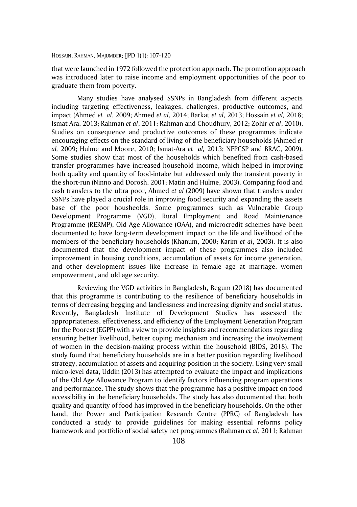that were launched in 1972 followed the protection approach. The promotion approach was introduced later to raise income and employment opportunities of the poor to graduate them from poverty.

Many studies have analysed SSNPs in Bangladesh from different aspects including targeting effectiveness, leakages, challenges, productive outcomes, and impact (Ahmed *et al*, 2009; Ahmed *et al*, 2014; Barkat *et al*, 2013; Hossain *et al,* 2018; Ismat Ara, 2013; Rahman *et al*, 2011; Rahman and Choudhury, 2012; Zohir *et al*, 2010). Studies on consequence and productive outcomes of these programmes indicate encouraging effects on the standard of living of the beneficiary households (Ahmed *et al,* 2009; Hulme and Moore, 2010; Ismat-Ara *et al,* 2013; NFPCSP and BRAC, 2009). Some studies show that most of the households which benefited from cash-based transfer programmes have increased household income, which helped in improving both quality and quantity of food-intake but addressed only the transient poverty in the short-run (Ninno and Dorosh, 2001; Matin and Hulme, 2003). Comparing food and cash transfers to the ultra poor, Ahmed *et al* (2009) have shown that transfers under SSNPs have played a crucial role in improving food security and expanding the assets base of the poor housheolds. Some programmes such as Vulnerable Group Development Programme (VGD), Rural Employment and Road Maintenance Programme (RERMP), Old Age Allowance (OAA), and microcredit schemes have been documented to have long-term development impact on the life and livelihood of the members of the beneficiary households (Khanum, 2000; Karim *et al*, 2003). It is also documented that the development impact of these programmes also included improvement in housing conditions, accumulation of assets for income generation, and other development issues like increase in female age at marriage, women empowerment, and old age security.

Reviewing the VGD activities in Bangladesh, Begum (2018) has documented that this programme is contributing to the resilience of beneficiary households in terms of decreasing begging and landlessness and increasing dignity and social status. Recently, Bangladesh Institute of Development Studies has assessed the appropriateness, effectiveness, and efficiency of the Employment Generation Program for the Poorest (EGPP) with a view to provide insights and recommendations regarding ensuring better livelihood, better coping mechanism and increasing the involvement of women in the decision-making process within the household (BIDS, 2018). The study found that beneficiary households are in a better position regarding livelihood strategy, accumulation of assets and acquiring position in the society. Using very small micro-level data, Uddin (2013) has attempted to evaluate the impact and implications of the Old Age Allowance Program to identify factors influencing program operations and performance. The study shows that the programme has a positive impact on food accessibility in the beneficiary households. The study has also documented that both quality and quantity of food has improved in the beneficiary households. On the other hand, the Power and Participation Research Centre (PPRC) of Bangladesh has conducted a study to provide guidelines for making essential reforms policy framework and portfolio of social safety net programmes (Rahman *et al*, 2011; Rahman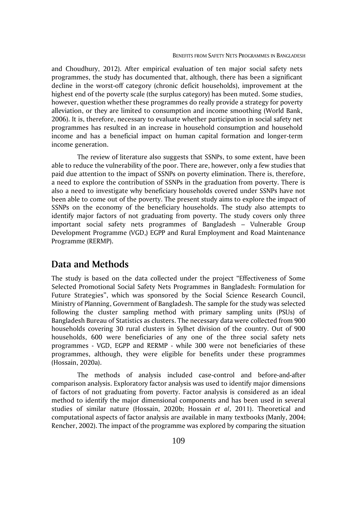and Choudhury, 2012). After empirical evaluation of ten major social safety nets programmes, the study has documented that, although, there has been a significant decline in the worst-off category (chronic deficit households), improvement at the highest end of the poverty scale (the surplus category) has been muted. Some studies, however, question whether these programmes do really provide a strategy for poverty alleviation, or they are limited to consumption and income smoothing (World Bank, 2006). It is, therefore, necessary to evaluate whether participation in social safety net programmes has resulted in an increase in household consumption and household income and has a beneficial impact on human capital formation and longer-term income generation.

The review of literature also suggests that SSNPs, to some extent, have been able to reduce the vulnerability of the poor. There are, however, only a few studies that paid due attention to the impact of SSNPs on poverty elimination. There is, therefore, a need to explore the contribution of SSNPs in the graduation from poverty. There is also a need to investigate why beneficiary households covered under SSNPs have not been able to come out of the poverty. The present study aims to explore the impact of SSNPs on the economy of the beneficiary households. The study also attempts to identify major factors of not graduating from poverty. The study covers only three important social safety nets programmes of Bangladesh – Vulnerable Group Development Programme (VGD,) EGPP and Rural Employment and Road Maintenance Programme (RERMP).

## **Data and Methods**

The study is based on the data collected under the project "Effectiveness of Some Selected Promotional Social Safety Nets Programmes in Bangladesh: Formulation for Future Strategies", which was sponsored by the Social Science Research Council, Ministry of Planning, Government of Bangladesh. The sample for the study was selected following the cluster sampling method with primary sampling units (PSUs) of Bangladesh Bureau of Statistics as clusters. The necessary data were collected from 900 households covering 30 rural clusters in Sylhet division of the country. Out of 900 households, 600 were beneficiaries of any one of the three social safety nets programmes - VGD, EGPP and RERMP - while 300 were not beneficiaries of these programmes, although, they were eligible for benefits under these programmes (Hossain, 2020a).

The methods of analysis included case-control and before-and-after comparison analysis. Exploratory factor analysis was used to identify major dimensions of factors of not graduating from poverty. Factor analysis is considered as an ideal method to identify the major dimensional components and has been used in several studies of similar nature (Hossain, 2020b; Hossain *et al*, 2011). Theoretical and computational aspects of factor analysis are available in many textbooks (Manly, 2004; Rencher, 2002). The impact of the programme was explored by comparing the situation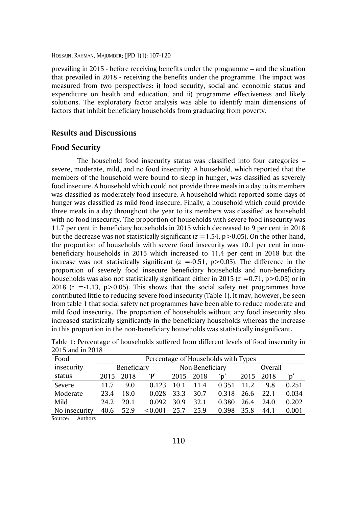prevailing in 2015 - before receiving benefits under the programme – and the situation that prevailed in 2018 - receiving the benefits under the programme. The impact was measured from two perspectives: i) food security, social and economic status and expenditure on health and education; and ii) programme effectiveness and likely solutions. The exploratory factor analysis was able to identify main dimensions of factors that inhibit beneficiary households from graduating from poverty.

### **Results and Discussions**

#### **Food Security**

The household food insecurity status was classified into four categories – severe, moderate, mild, and no food insecurity. A household, which reported that the members of the household were bound to sleep in hunger, was classified as severely food insecure. A household which could not provide three meals in a day to its members was classified as moderately food insecure. A household which reported some days of hunger was classified as mild food insecure. Finally, a household which could provide three meals in a day throughout the year to its members was classified as household with no food insecurity. The proportion of households with severe food insecurity was 11.7 per cent in beneficiary households in 2015 which decreased to 9 per cent in 2018 but the decrease was not statistically significant  $(z = 1.54, p > 0.05)$ . On the other hand, the proportion of households with severe food insecurity was 10.1 per cent in nonbeneficiary households in 2015 which increased to 11.4 per cent in 2018 but the increase was not statistically significant  $(z = -0.51, p > 0.05)$ . The difference in the proportion of severely food insecure beneficiary households and non-beneficiary households was also not statistically significant either in 2015 ( $z = 0.71$ ,  $p > 0.05$ ) or in 2018  $(z = -1.13, p > 0.05)$ . This shows that the social safety net programmes have contributed little to reducing severe food insecurity (Table 1). It may, however, be seen from table 1 that social safety net programmes have been able to reduce moderate and mild food insecurity. The proportion of households without any food insecurity also increased statistically significantly in the beneficiary households whereas the increase in this proportion in the non-beneficiary households was statistically insignificant.

| Food          |      | Percentage of Households with Types |            |           |                 |       |         |           |       |  |
|---------------|------|-------------------------------------|------------|-----------|-----------------|-------|---------|-----------|-------|--|
| insecurity    |      | Beneficiary                         |            |           | Non-Beneficiary |       | Overall |           |       |  |
| status        |      | 2015 2018                           | $\cdot$ P' | 2015 2018 |                 | ʻɒ'   |         | 2015 2018 |       |  |
| Severe        | 11.7 | 9.0                                 | 0.123      | 10.1      | 11.4            | 0.351 | 11.2    | 9.8       | 0.251 |  |
| Moderate      | 23.4 | 18.0                                | 0.028      | 33.3      | 30.7            | 0.318 | -26.6   | 22.1      | 0.034 |  |
| Mild          | 24.2 | 20.1                                | 0.092      | 30.9      | 32.1            | 0.380 | 26.4    | 24.0      | 0.202 |  |
| No insecurity |      | 40.6 52.9                           | < 0.001    | 25.7 25.9 |                 | 0.398 | 35.8    | 44.1      | 0.001 |  |

Table 1: Percentage of households suffered from different levels of food insecurity in 2015 and in 2018

Source: Authors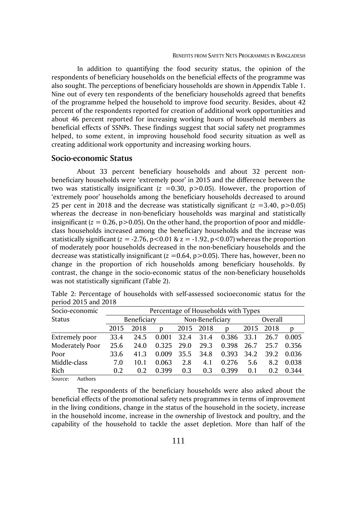In addition to quantifying the food security status, the opinion of the respondents of beneficiary households on the beneficial effects of the programme was also sought. The perceptions of beneficiary households are shown in Appendix Table 1. Nine out of every ten respondents of the beneficiary households agreed that benefits of the programme helped the household to improve food security. Besides, about 42 percent of the respondents reported for creation of additional work opportunities and about 46 percent reported for increasing working hours of household members as beneficial effects of SSNPs. These findings suggest that social safety net programmes helped, to some extent, in improving household food security situation as well as creating additional work opportunity and increasing working hours.

#### **Socio-economic Status**

About 33 percent beneficiary households and about 32 percent nonbeneficiary households were 'extremely poor' in 2015 and the difference between the two was statistically insignificant  $(z = 0.30, p > 0.05)$ . However, the proportion of 'extremely poor' households among the beneficiary households decreased to around 25 per cent in 2018 and the decrease was statistically significant  $(z = 3.40, p > 0.05)$ whereas the decrease in non-beneficiary households was marginal and statistically insignificant  $(z = 0.26, p > 0.05)$ . On the other hand, the proportion of poor and middleclass households increased among the beneficiary households and the increase was statistically significant  $(z = -2.76, p < 0.01 \& z = -1.92, p < 0.07)$  whereas the proportion of moderately poor households decreased in the non-beneficiary households and the decrease was statistically insignificant  $(z = 0.64, p > 0.05)$ . There has, however, been no change in the proportion of rich households among beneficiary households. By contrast, the change in the socio-economic status of the non-beneficiary households was not statistically significant (Table 2).

| Socio-economic          |      | Percentage of Households with Types |       |                 |                 |           |         |      |        |  |  |
|-------------------------|------|-------------------------------------|-------|-----------------|-----------------|-----------|---------|------|--------|--|--|
| <b>Status</b>           |      | Beneficiary                         |       |                 | Non-Beneficiary |           | Overall |      |        |  |  |
|                         | D    | 2015 2018                           |       | D               |                 | 2015 2018 | D       |      |        |  |  |
| Extremely poor          | 33.4 | 24.5                                |       | 0.001 32.4 31.4 |                 | 0.386     | 33.1    | 26.7 | 0.005  |  |  |
| Moderately Poor         | 25.6 | 24.0                                | 0.325 | 29.0            | 29.3            | 0.398     | 26.7    | 25.7 | 0.356  |  |  |
| Poor                    | 33.6 | 41.3                                | 0.009 | 35.5            | 34.8            | 0.393     | 34.2    | 39.2 | -0.036 |  |  |
| Middle-class            | 7.0  | 10.1                                | 0.063 | 2.8             | 4.1             | 0.276     | 5.6     | 8.2  | 0.038  |  |  |
| Rich                    | 0.2  | 0.2                                 | 0.399 | 0.3             | 0.3             | 0.399     | 0.1     | 0.2  | 0.344  |  |  |
| $\sim$ $\sim$<br>$\sim$ |      |                                     |       |                 |                 |           |         |      |        |  |  |

Table 2: Percentage of households with self-assessed socioeconomic status for the period 2015 and 2018

Source: Authors

The respondents of the beneficiary households were also asked about the beneficial effects of the promotional safety nets programmes in terms of improvement in the living conditions, change in the status of the household in the society, increase in the household income, increase in the ownership of livestock and poultry, and the capability of the household to tackle the asset depletion. More than half of the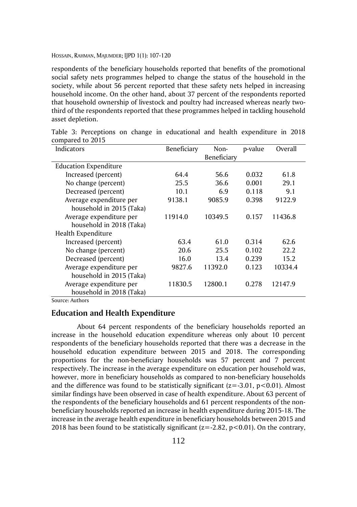respondents of the beneficiary households reported that benefits of the promotional social safety nets programmes helped to change the status of the household in the society, while about 56 percent reported that these safety nets helped in increasing household income. On the other hand, about 37 percent of the respondents reported that household ownership of livestock and poultry had increased whereas nearly twothird of the respondents reported that these programmes helped in tackling household asset depletion.

| Indicators                   | Beneficiary | Non-        | p-value | Overall |
|------------------------------|-------------|-------------|---------|---------|
|                              |             | Beneficiary |         |         |
| <b>Education Expenditure</b> |             |             |         |         |
| Increased (percent)          | 64.4        | 56.6        | 0.032   | 61.8    |
| No change (percent)          | 25.5        | 36.6        | 0.001   | 29.1    |
| Decreased (percent)          | 10.1        | 6.9         | 0.118   | 9.1     |
| Average expenditure per      | 9138.1      | 9085.9      | 0.398   | 9122.9  |
| household in 2015 (Taka)     |             |             |         |         |
| Average expenditure per      | 11914.0     | 10349.5     | 0.157   | 11436.8 |
| household in 2018 (Taka)     |             |             |         |         |
| Health Expenditure           |             |             |         |         |
| Increased (percent)          | 63.4        | 61.0        | 0.314   | 62.6    |
| No change (percent)          | 20.6        | 25.5        | 0.102   | 22.2    |
| Decreased (percent)          | 16.0        | 13.4        | 0.239   | 15.2    |
| Average expenditure per      | 9827.6      | 11392.0     | 0.123   | 10334.4 |
| household in 2015 (Taka)     |             |             |         |         |
| Average expenditure per      | 11830.5     | 12800.1     | 0.278   | 12147.9 |
| household in 2018 (Taka)     |             |             |         |         |

Table 3: Perceptions on change in educational and health expenditure in 2018 compared to 2015

Source: Authors

#### **Education and Health Expenditure**

About 64 percent respondents of the beneficiary households reported an increase in the household education expenditure whereas only about 10 percent respondents of the beneficiary households reported that there was a decrease in the household education expenditure between 2015 and 2018. The corresponding proportions for the non-beneficiary households was 57 percent and 7 percent respectively. The increase in the average expenditure on education per household was, however, more in beneficiary households as compared to non-beneficiary households and the difference was found to be statistically significant ( $z=-3.01$ ,  $p<0.01$ ). Almost similar findings have been observed in case of health expenditure. About 63 percent of the respondents of the beneficiary households and 61 percent respondents of the nonbeneficiary households reported an increase in health expenditure during 2015-18. The increase in the average health expenditure in beneficiary households between 2015 and 2018 has been found to be statistically significant  $(z=-2.82, p<0.01)$ . On the contrary,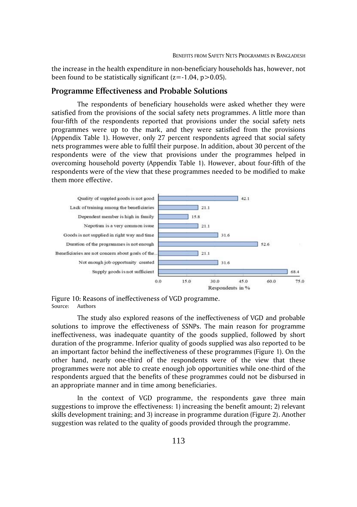the increase in the health expenditure in non-beneficiary households has, however, not been found to be statistically significant  $(z=1.04, p>0.05)$ .

#### **Programme Effectiveness and Probable Solutions**

The respondents of beneficiary households were asked whether they were satisfied from the provisions of the social safety nets programmes. A little more than four-fifth of the respondents reported that provisions under the social safety nets programmes were up to the mark, and they were satisfied from the provisions (Appendix Table 1). However, only 27 percent respondents agreed that social safety nets programmes were able to fulfil their purpose. In addition, about 30 percent of the respondents were of the view that provisions under the programmes helped in overcoming household poverty (Appendix Table 1). However, about four-fifth of the respondents were of the view that these programmes needed to be modified to make them more effective.



Figure 10: Reasons of ineffectiveness of VGD programme. Source: Authors

The study also explored reasons of the ineffectiveness of VGD and probable solutions to improve the effectiveness of SSNPs. The main reason for programme ineffectiveness, was inadequate quantity of the goods supplied, followed by short duration of the programme. Inferior quality of goods supplied was also reported to be an important factor behind the ineffectiveness of these programmes (Figure 1). On the other hand, nearly one-third of the respondents were of the view that these programmes were not able to create enough job opportunities while one-third of the respondents argued that the benefits of these programmes could not be disbursed in an appropriate manner and in time among beneficiaries.

In the context of VGD programme, the respondents gave three main suggestions to improve the effectiveness: 1) increasing the benefit amount; 2) relevant skills development training; and 3) increase in programme duration (Figure 2). Another suggestion was related to the quality of goods provided through the programme.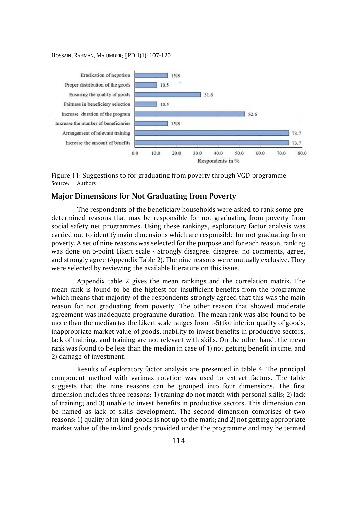

Figure 11: Suggestions to for graduating from poverty through VGD programme Source: Authors

### **Major Dimensions for Not Graduating from Poverty**

The respondents of the beneficiary households were asked to rank some predetermined reasons that may be responsible for not graduating from poverty from social safety net programmes. Using these rankings, exploratory factor analysis was carried out to identify main dimensions which are responsible for not graduating from poverty. A set of nine reasons was selected for the purpose and for each reason, ranking was done on 5-point Likert scale - Strongly disagree, disagree, no comments, agree, and strongly agree (Appendix Table 2). The nine reasons were mutually exclusive. They were selected by reviewing the available literature on this issue.

Appendix table 2 gives the mean rankings and the correlation matrix. The mean rank is found to be the highest for insufficient benefits from the programme which means that majority of the respondents strongly agreed that this was the main reason for not graduating from poverty. The other reason that showed moderate agreement was inadequate programme duration. The mean rank was also found to be more than the median (as the Likert scale ranges from 1-5) for inferior quality of goods, inappropriate market value of goods, inability to invest benefits in productive sectors, lack of training, and training are not relevant with skills. On the other hand, the mean rank was found to be less than the median in case of 1) not getting benefit in time; and 2) damage of investment.

Results of exploratory factor analysis are presented in table 4. The principal component method with varimax rotation was used to extract factors. The table suggests that the nine reasons can be grouped into four dimensions. The first dimension includes three reasons: 1) **t**raining do not match with personal skills; 2) lack of training; and 3) unable to invest benefits in productive sectors. This dimension can be named as lack of skills development. The second dimension comprises of two reasons: 1) quality of in-kind goods is not up to the mark; and 2) not getting appropriate market value of the in-kind goods provided under the programme and may be termed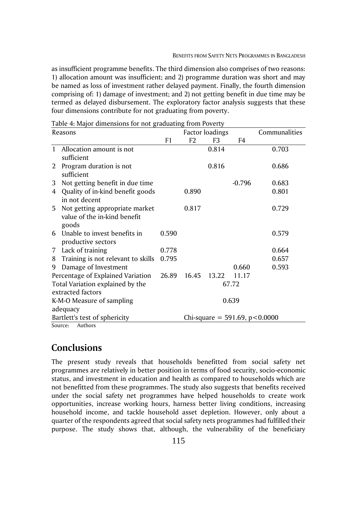as insufficient programme benefits. The third dimension also comprises of two reasons: 1) allocation amount was insufficient; and 2) programme duration was short and may be named as loss of investment rather delayed payment. Finally, the fourth dimension comprising of: 1) damage of investment; and 2) not getting benefit in due time may be termed as delayed disbursement. The exploratory factor analysis suggests that these four dimensions contribute for not graduating from poverty.

| Reasons                   |                                                   |       | <b>Factor loadings</b>            |       |          | Communalities |  |  |
|---------------------------|---------------------------------------------------|-------|-----------------------------------|-------|----------|---------------|--|--|
|                           |                                                   | F1    | F2                                | F3    | F4       |               |  |  |
| $\mathbf{1}$              | Allocation amount is not                          |       |                                   | 0.814 |          | 0.703         |  |  |
|                           | sufficient                                        |       |                                   |       |          |               |  |  |
| 2                         | Program duration is not                           |       |                                   | 0.816 |          | 0.686         |  |  |
|                           | sufficient                                        |       |                                   |       |          |               |  |  |
| 3                         | Not getting benefit in due time                   |       |                                   |       | $-0.796$ | 0.683         |  |  |
| 4                         | Quality of in-kind benefit goods<br>in not decent |       | 0.890                             |       |          | 0.801         |  |  |
| 5                         | Not getting appropriate market                    |       | 0.817                             |       |          | 0.729         |  |  |
|                           | value of the in-kind benefit                      |       |                                   |       |          |               |  |  |
|                           | goods                                             |       |                                   |       |          |               |  |  |
| 6.                        | Unable to invest benefits in                      | 0.590 |                                   |       |          | 0.579         |  |  |
|                           | productive sectors                                |       |                                   |       |          |               |  |  |
| $7^{\circ}$               | Lack of training                                  | 0.778 |                                   |       |          | 0.664         |  |  |
| 8                         | Training is not relevant to skills                | 0.795 |                                   |       |          | 0.657         |  |  |
| 9                         | Damage of Investment                              |       |                                   |       | 0.660    | 0.593         |  |  |
|                           | Percentage of Explained Variation                 | 26.89 | 16.45                             | 13.22 | 11.17    |               |  |  |
|                           | Total Variation explained by the                  |       |                                   |       | 67.72    |               |  |  |
|                           | extracted factors                                 |       |                                   |       |          |               |  |  |
| K-M-O Measure of sampling |                                                   |       |                                   |       | 0.639    |               |  |  |
|                           | adequacy                                          |       |                                   |       |          |               |  |  |
|                           | Bartlett's test of sphericity                     |       | Chi-square = 591.69, $p < 0.0000$ |       |          |               |  |  |
|                           | Source:<br>Authors                                |       |                                   |       |          |               |  |  |

Table 4: Major dimensions for not graduating from Poverty

## **Conclusions**

The present study reveals that households benefitted from social safety net programmes are relatively in better position in terms of food security, socio-economic status, and investment in education and health as compared to households which are not benefitted from these programmes. The study also suggests that benefits received under the social safety net programmes have helped households to create work opportunities, increase working hours, harness better living conditions, increasing household income, and tackle household asset depletion. However, only about a quarter of the respondents agreed that social safety nets programmes had fulfilled their purpose. The study shows that, although, the vulnerability of the beneficiary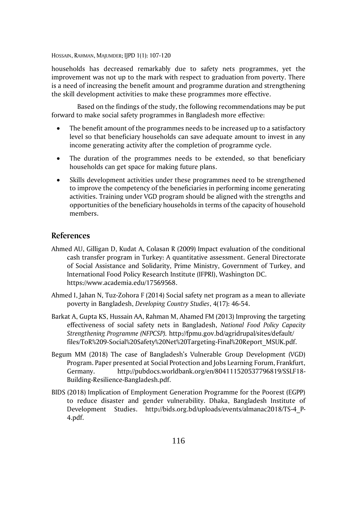households has decreased remarkably due to safety nets programmes, yet the improvement was not up to the mark with respect to graduation from poverty. There is a need of increasing the benefit amount and programme duration and strengthening the skill development activities to make these programmes more effective.

Based on the findings of the study, the following recommendations may be put forward to make social safety programmes in Bangladesh more effective:

- The benefit amount of the programmes needs to be increased up to a satisfactory level so that beneficiary households can save adequate amount to invest in any income generating activity after the completion of programme cycle.
- The duration of the programmes needs to be extended, so that beneficiary households can get space for making future plans.
- Skills development activities under these programmes need to be strengthened to improve the competency of the beneficiaries in performing income generating activities. Training under VGD program should be aligned with the strengths and opportunities of the beneficiary households in terms of the capacity of household members.

#### **References**

- Ahmed AU, Gilligan D, Kudat A, Colasan R (2009) Impact evaluation of the conditional cash transfer program in Turkey: A quantitative assessment. General Directorate of Social Assistance and Solidarity, Prime Ministry, Government of Turkey, and International Food Policy Research Institute (IFPRI), Washington DC. https://www.academia.edu/17569568.
- Ahmed I, Jahan N, Tuz-Zohora F (2014) Social safety net program as a mean to alleviate poverty in Bangladesh, *Developing Country Studies*, 4(17): 46-54.
- Barkat A, Gupta KS, Hussain AA, Rahman M, Ahamed FM (2013) Improving the targeting effectiveness of social safety nets in Bangladesh, *National Food Policy Capacity Strengthening Programme (NFPCSP).* http://fpmu.gov.bd/agridrupal/sites/default/ files/ToR%209-Social%20Safety%20Net%20Targeting-Final%20Report\_MSUK.pdf.
- Begum MM (2018) The case of Bangladesh's Vulnerable Group Development (VGD) Program. Paper presented at Social Protection and Jobs Learning Forum, Frankfurt, Germany. http://pubdocs.worldbank.org/en/804111520537796819/SSLF18- Building-Resilience-Bangladesh.pdf.
- BIDS (2018) Implication of Employment Generation Programme for the Poorest (EGPP) to reduce disaster and gender vulnerability. Dhaka, Bangladesh Institute of Development Studies. http://bids.org.bd/uploads/events/almanac2018/TS-4\_P-4.pdf.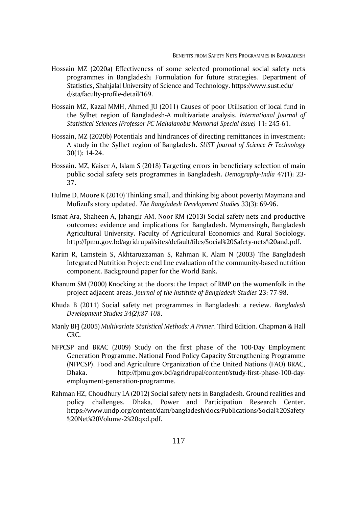- Hossain MZ (2020a) Effectiveness of some selected promotional social safety nets programmes in Bangladesh: Formulation for future strategies. Department of Statistics, Shahjalal University of Science and Technology. https://www.sust.edu/ d/sta/faculty-profile-detail/169.
- Hossain MZ, Kazal MMH, Ahmed JU (2011) Causes of poor Utilisation of local fund in the Sylhet region of Bangladesh-A multivariate analysis. *International Journal of Statistical Sciences (Professor PC Mahalanobis Memorial Special Issue)* 11: 245-61.
- Hossain, MZ (2020b) Potentials and hindrances of directing remittances in investment: A study in the Sylhet region of Bangladesh. *SUST Journal of Science & Technology* 30(1): 14-24.
- Hossain. MZ, Kaiser A, Islam S (2018) Targeting errors in beneficiary selection of main public social safety sets programmes in Bangladesh. *Demography-India* 47(1): 23- 37.
- Hulme D, Moore K (2010) Thinking small, and thinking big about poverty: Maymana and Mofizul's story updated. *The Bangladesh Development Studies* 33(3): 69-96.
- Ismat Ara, Shaheen A, Jahangir AM, Noor RM (2013) Social safety nets and productive outcomes: evidence and implications for Bangladesh. Mymensingh, Bangladesh Agricultural University. Faculty of Agricultural Economics and Rural Sociology. http://fpmu.gov.bd/agridrupal/sites/default/files/Social%20Safety-nets%20and.pdf.
- Karim R, Lamstein S, Akhtaruzzaman S, Rahman K, Alam N (2003) The Bangladesh Integrated Nutrition Project: end line evaluation of the community-based nutrition component. Background paper for the World Bank.
- Khanum SM (2000) Knocking at the doors: the Impact of RMP on the womenfolk in the project adjacent areas. *Journal of the Institute of Bangladesh Studies* 23: 77-98.
- Khuda B (2011) Social safety net programmes in Bangladesh: a review. *Bangladesh Development Studies 34(2):87-108*.
- Manly BFJ (2005) *Multivariate Statistical Methods: A Primer*. Third Edition. Chapman & Hall CRC.
- NFPCSP and BRAC (2009) Study on the first phase of the 100-Day Employment Generation Programme. National Food Policy Capacity Strengthening Programme (NFPCSP). Food and Agriculture Organization of the United Nations (FAO) BRAC, Dhaka. http://fpmu.gov.bd/agridrupal/content/study-first-phase-100-dayemployment-generation-programme.
- Rahman HZ, Choudhury LA (2012) Social safety nets in Bangladesh. Ground realities and policy challenges. Dhaka, Power and Participation Research Center. https://www.undp.org/content/dam/bangladesh/docs/Publications/Social%20Safety %20Net%20Volume-2%20qxd.pdf.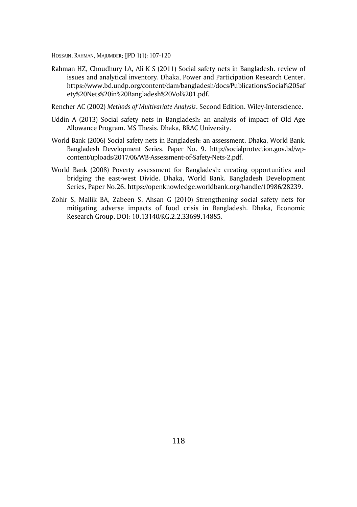- Rahman HZ, Choudhury LA, Ali K S (2011) Social safety nets in Bangladesh. review of issues and analytical inventory. Dhaka, Power and Participation Research Center. https://www.bd.undp.org/content/dam/bangladesh/docs/Publications/Social%20Saf ety%20Nets%20in%20Bangladesh%20Vol%201.pdf.
- Rencher AC (2002) *Methods of Multivariate Analysis*. Second Edition. Wiley-Interscience.
- Uddin A (2013) Social safety nets in Bangladesh: an analysis of impact of Old Age Allowance Program. MS Thesis. Dhaka, BRAC University.
- World Bank (2006) Social safety nets in Bangladesh: an assessment. Dhaka, World Bank. Bangladesh Development Series. Paper No. 9. http://socialprotection.gov.bd/wpcontent/uploads/2017/06/WB-Assessment-of-Safety-Nets-2.pdf.
- World Bank (2008) Poverty assessment for Bangladesh: creating opportunities and bridging the east-west Divide. Dhaka, World Bank. Bangladesh Development Series, Paper No.26. https://openknowledge.worldbank.org/handle/10986/28239.
- Zohir S, Mallik BA, Zabeen S, Ahsan G (2010) Strengthening social safety nets for mitigating adverse impacts of food crisis in Bangladesh. Dhaka, Economic Research Group. DOI: 10.13140/RG.2.2.33699.14885.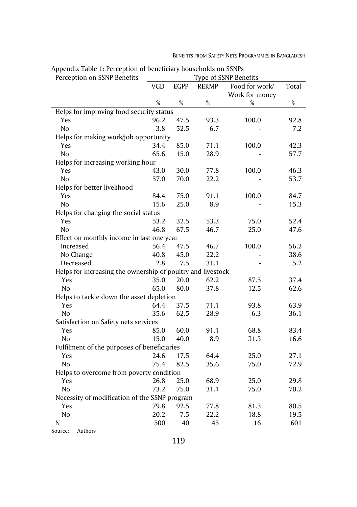| Appendix Table 1: Perception of beneficiary nouseholds on SSNPS<br>Type of SSNP Benefits |      |             |              |                |       |  |  |  |
|------------------------------------------------------------------------------------------|------|-------------|--------------|----------------|-------|--|--|--|
| Perception on SSNP Benefits                                                              |      |             |              |                |       |  |  |  |
|                                                                                          | VGD  | <b>EGPP</b> | <b>RERMP</b> | Food for work/ | Total |  |  |  |
|                                                                                          |      |             |              | Work for money |       |  |  |  |
|                                                                                          | $\%$ | $\%$        | $\%$         | %              | $\%$  |  |  |  |
| Helps for improving food security status                                                 |      |             |              |                |       |  |  |  |
| Yes                                                                                      | 96.2 | 47.5        | 93.3         | 100.0          | 92.8  |  |  |  |
| No                                                                                       | 3.8  | 52.5        | 6.7          |                | 7.2   |  |  |  |
| Helps for making work/job opportunity                                                    |      |             |              |                |       |  |  |  |
| Yes                                                                                      | 34.4 | 85.0        | 71.1         | 100.0          | 42.3  |  |  |  |
| No                                                                                       | 65.6 | 15.0        | 28.9         |                | 57.7  |  |  |  |
| Helps for increasing working hour                                                        |      |             |              |                |       |  |  |  |
| Yes                                                                                      | 43.0 | 30.0        | 77.8         | 100.0          | 46.3  |  |  |  |
| No                                                                                       | 57.0 | 70.0        | 22.2         |                | 53.7  |  |  |  |
| Helps for better livelihood                                                              |      |             |              |                |       |  |  |  |
| Yes                                                                                      | 84.4 | 75.0        | 91.1         | 100.0          | 84.7  |  |  |  |
| N <sub>o</sub>                                                                           | 15.6 | 25.0        | 8.9          |                | 15.3  |  |  |  |
| Helps for changing the social status                                                     |      |             |              |                |       |  |  |  |
| Yes                                                                                      | 53.2 | 32.5        | 53.3         | 75.0           | 52.4  |  |  |  |
| N <sub>o</sub>                                                                           | 46.8 | 67.5        | 46.7         | 25.0           | 47.6  |  |  |  |
| Effect on monthly income in last one year                                                |      |             |              |                |       |  |  |  |
| Increased                                                                                | 56.4 | 47.5        | 46.7         | 100.0          | 56.2  |  |  |  |
| No Change                                                                                | 40.8 | 45.0        | 22.2         |                | 38.6  |  |  |  |
| Decreased                                                                                | 2.8  | 7.5         | 31.1         |                | 5.2   |  |  |  |
| Helps for increasing the ownership of poultry and livestock                              |      |             |              |                |       |  |  |  |
| Yes                                                                                      | 35.0 | 20.0        | 62.2         | 87.5           | 37.4  |  |  |  |
| No                                                                                       | 65.0 | 80.0        | 37.8         | 12.5           | 62.6  |  |  |  |
| Helps to tackle down the asset depletion                                                 |      |             |              |                |       |  |  |  |
| Yes                                                                                      | 64.4 | 37.5        | 71.1         | 93.8           | 63.9  |  |  |  |
| N <sub>o</sub>                                                                           | 35.6 | 62.5        | 28.9         | 6.3            | 36.1  |  |  |  |
| Satisfaction on Safety nets services                                                     |      |             |              |                |       |  |  |  |
| Yes                                                                                      | 85.0 | 60.0        | 91.1         | 68.8           | 83.4  |  |  |  |
| No                                                                                       | 15.0 | 40.0        | 8.9          | 31.3           | 16.6  |  |  |  |
| Fulfilment of the purposes of beneficiaries                                              |      |             |              |                |       |  |  |  |
| Yes                                                                                      | 24.6 | 17.5        | 64.4         | 25.0           | 27.1  |  |  |  |
| No                                                                                       | 75.4 | 82.5        | 35.6         | 75.0           | 72.9  |  |  |  |
| Helps to overcome from poverty condition                                                 |      |             |              |                |       |  |  |  |
| Yes                                                                                      | 26.8 | 25.0        | 68.9         | 25.0           | 29.8  |  |  |  |
| No                                                                                       | 73.2 | 75.0        | 31.1         | 75.0           | 70.2  |  |  |  |
| Necessity of modification of the SSNP program                                            |      |             |              |                |       |  |  |  |
|                                                                                          |      |             |              |                |       |  |  |  |
| Yes                                                                                      | 79.8 | 92.5        | 77.8         | 81.3           | 80.5  |  |  |  |
| No                                                                                       | 20.2 | 7.5         | 22.2         | 18.8           | 19.5  |  |  |  |
| N                                                                                        | 500  | 40          | 45           | 16             | 601   |  |  |  |

Appendix Table 1: Perception of beneficiary households on SSNPs

BENEFITS FROM SAFETY NETS PROGRAMMES IN BANGLADESH

Source: Authors